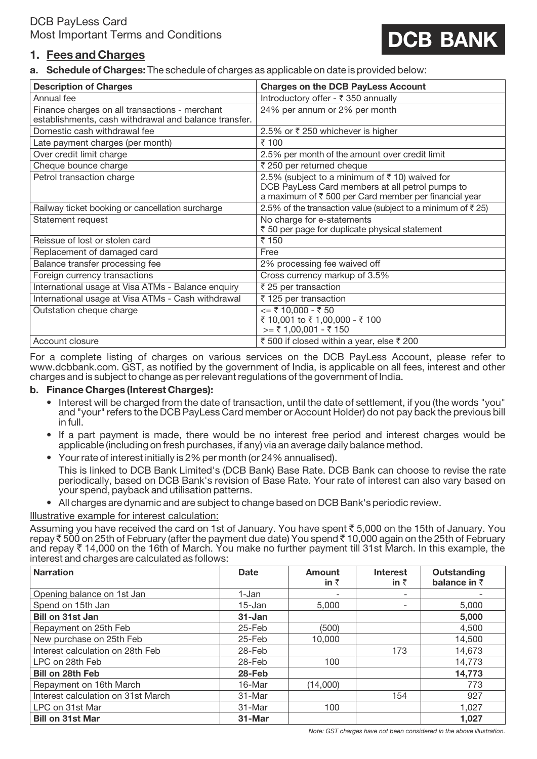# **DCB BANK**

## **1. Fees and Charges**

**a. Schedule of Charges:** The schedule of charges as applicable on date is provided below:

| <b>Description of Charges</b>                                                                           | <b>Charges on the DCB PayLess Account</b>                                                                                                                 |  |  |
|---------------------------------------------------------------------------------------------------------|-----------------------------------------------------------------------------------------------------------------------------------------------------------|--|--|
| Annual fee                                                                                              | Introductory offer - ₹ 350 annually                                                                                                                       |  |  |
| Finance charges on all transactions - merchant<br>establishments, cash withdrawal and balance transfer. | 24% per annum or 2% per month                                                                                                                             |  |  |
| Domestic cash withdrawal fee                                                                            | 2.5% or ₹250 whichever is higher                                                                                                                          |  |  |
| Late payment charges (per month)                                                                        | ₹ 100                                                                                                                                                     |  |  |
| Over credit limit charge                                                                                | 2.5% per month of the amount over credit limit                                                                                                            |  |  |
| Cheque bounce charge                                                                                    | ₹ 250 per returned cheque                                                                                                                                 |  |  |
| Petrol transaction charge                                                                               | 2.5% (subject to a minimum of ₹10) waived for<br>DCB PayLess Card members at all petrol pumps to<br>a maximum of ₹ 500 per Card member per financial year |  |  |
| Railway ticket booking or cancellation surcharge                                                        | 2.5% of the transaction value (subject to a minimum of $\bar{z}$ 25)                                                                                      |  |  |
| Statement request                                                                                       | No charge for e-statements<br>₹ 50 per page for duplicate physical statement                                                                              |  |  |
| Reissue of lost or stolen card                                                                          | ₹ 150                                                                                                                                                     |  |  |
| Replacement of damaged card                                                                             | Free                                                                                                                                                      |  |  |
| Balance transfer processing fee                                                                         | 2% processing fee waived off                                                                                                                              |  |  |
| Foreign currency transactions                                                                           | Cross currency markup of 3.5%                                                                                                                             |  |  |
| International usage at Visa ATMs - Balance enquiry                                                      | ₹ 25 per transaction                                                                                                                                      |  |  |
| International usage at Visa ATMs - Cash withdrawal                                                      | ₹ 125 per transaction                                                                                                                                     |  |  |
| Outstation cheque charge                                                                                | $\leq$ = ₹ 10,000 - ₹ 50<br>₹ 10,001 to ₹ 1,00,000 - ₹ 100<br>$\geq$ = ₹ 1,00,001 - ₹ 150                                                                 |  |  |
| Account closure                                                                                         | ₹ 500 if closed within a year, else ₹ 200                                                                                                                 |  |  |

For a complete listing of charges on various services on the DCB PayLess Account, please refer to www.dcbbank.com. GST, as notified by the government of India, is applicable on all fees, interest and other charges and is subject to change as per relevant regulations of the government of India.

#### **b. Finance Charges (Interest Charges):**

- Interest will be charged from the date of transaction, until the date of settlement, if you (the words "you" and "your" refers to the DCB PayLess Card member or Account Holder) do not pay back the previous bill in full.
- If a part payment is made, there would be no interest free period and interest charges would be applicable (including on fresh purchases, if any) via an average daily balance method.
- Your rate of interest initially is 2% per month (or 24% annualised).

This is linked to DCB Bank Limited's (DCB Bank) Base Rate. DCB Bank can choose to revise the rate periodically, based on DCB Bank's revision of Base Rate. Your rate of interest can also vary based on your spend, payback and utilisation patterns.

• All charges are dynamic and are subject to change based on DCB Bank's periodic review.

Illustrative example for interest calculation:

Assuming you have received the card on 1st of January. You have spent  $\bar{\tau}$  5,000 on the 15th of January. You repay  $\bar{\tau}$  500 on 25th of February (after the payment due date) You spend  $\bar{\tau}$  10,000 again on the 25th of February and repay  $\bar{\tau}$  14,000 on the 16th of March. You make no further payment till 31st March. In this example, the interest and charges are calculated as follows:

| <b>Narration</b>                   | <b>Date</b> | <b>Amount</b><br>in $\bar{z}$ | <b>Interest</b><br>in $\bar{z}$ | Outstanding<br>balance in $\bar{z}$ |
|------------------------------------|-------------|-------------------------------|---------------------------------|-------------------------------------|
|                                    |             |                               |                                 |                                     |
| Opening balance on 1st Jan         | 1-Jan       |                               |                                 |                                     |
| Spend on 15th Jan                  | $15 - Jan$  | 5.000                         | $\overline{\phantom{0}}$        | 5,000                               |
| <b>Bill on 31st Jan</b>            | 31-Jan      |                               |                                 | 5,000                               |
| Repayment on 25th Feb              | 25-Feb      | (500)                         |                                 | 4,500                               |
| New purchase on 25th Feb           | 25-Feb      | 10,000                        |                                 | 14,500                              |
| Interest calculation on 28th Feb   | 28-Feb      |                               | 173                             | 14,673                              |
| LPC on 28th Feb                    | 28-Feb      | 100                           |                                 | 14,773                              |
| <b>Bill on 28th Feb</b>            | 28-Feb      |                               |                                 | 14,773                              |
| Repayment on 16th March            | 16-Mar      | (14,000)                      |                                 | 773                                 |
| Interest calculation on 31st March | 31-Mar      |                               | 154                             | 927                                 |
| LPC on 31st Mar                    | 31-Mar      | 100                           |                                 | 1.027                               |
| <b>Bill on 31st Mar</b>            | 31-Mar      |                               |                                 | 1,027                               |

*Note: GST charges have not been considered in the above illustration.*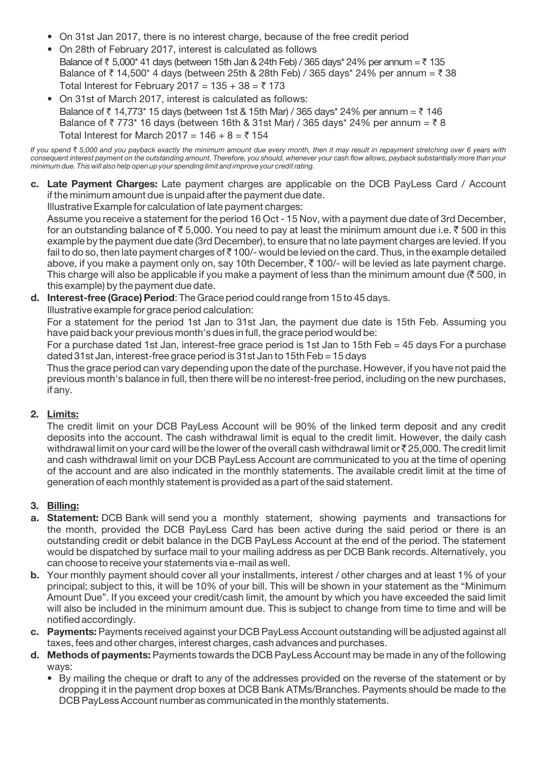- On 31st Jan 2017, there is no interest charge, because of the free credit period
- On 28th of February 2017, interest is calculated as follows Balance of  $\bar{\tau}$  5,000\* 41 days (between 15th Jan & 24th Feb) / 365 days\* 24% per annum =  $\bar{\tau}$  135 Balance of  $\bar{\tau}$  14,500\* 4 days (between 25th & 28th Feb) / 365 days\* 24% per annum =  $\bar{\tau}$  38 Total Interest for February 2017 =  $135 + 38 = 7173$
- On 31st of March 2017, interest is calculated as follows: Balance of  $\bar{\tau}$  14,773\* 15 days (between 1st & 15th Mar) / 365 days\* 24% per annum =  $\bar{\tau}$  146 Balance of  $\bar{z}$  773\* 16 days (between 16th & 31st Mar) / 365 days\* 24% per annum =  $\bar{z}$  8 Total Interest for March 2017 =  $146 + 8 = 5154$

*If you spend* ` *5,000 and you payback exactly the minimum amount due every month, then it may result in repayment stretching over 6 years with consequent interest payment on the outstanding amount. Therefore, you should, whenever your cash flow allows, payback substantially more than your minimum due. This will also help open up your spending limit and improve your credit rating.*

**c. Late Payment Charges:** Late payment charges are applicable on the DCB PayLess Card / Account if the minimum amount due is unpaid after the payment due date.

Illustrative Example for calculation of late payment charges:

Assume you receive a statement for the period 16 Oct - 15 Nov, with a payment due date of 3rd December, for an outstanding balance of  $\bar{\bar{\tau}}$  5,000. You need to pay at least the minimum amount due i.e.  $\bar{\bar{\tau}}$  500 in this example by the payment due date (3rd December), to ensure that no late payment charges are levied. If you fail to do so, then late payment charges of  $\bar{z}$  100/- would be levied on the card. Thus, in the example detailed above, if you make a payment only on, say 10th December,  $\bar{\tau}$  100/- will be levied as late payment charge. This charge will also be applicable if you make a payment of less than the minimum amount due ( $\overline{5}$  500, in this example) by the payment due date.

**d. Interest-free (Grace) Period**: The Grace period could range from 15 to 45 days.

Illustrative example for grace period calculation:

For a statement for the period 1st Jan to 31st Jan, the payment due date is 15th Feb. Assuming you have paid back your previous month's dues in full, the grace period would be:

For a purchase dated 1st Jan, interest-free grace period is 1st Jan to 15th Feb = 45 days For a purchase dated 31st Jan, interest-free grace period is 31st Jan to 15th Feb = 15 days

Thus the grace period can vary depending upon the date of the purchase. However, if you have not paid the previous month's balance in full, then there will be no interest-free period, including on the new purchases, if any.

### **2. Limits:**

The credit limit on your DCB PayLess Account will be 90% of the linked term deposit and any credit deposits into the account. The cash withdrawal limit is equal to the credit limit. However, the daily cash withdrawal limit on your card will be the lower of the overall cash withdrawal limit or  $\bar{\tau}$  25,000. The credit limit and cash withdrawal limit on your DCB PayLess Account are communicated to you at the time of opening of the account and are also indicated in the monthly statements. The available credit limit at the time of generation of each monthly statement is provided as a part of the said statement.

### **3. Billing:**

- **a. Statement:** DCB Bank will send you a monthly statement, showing payments and transactions for the month, provided the DCB PayLess Card has been active during the said period or there is an outstanding credit or debit balance in the DCB PayLess Account at the end of the period. The statement would be dispatched by surface mail to your mailing address as per DCB Bank records. Alternatively, you can choose to receive your statements via e-mail as well.
- **b.** Your monthly payment should cover all your installments, interest / other charges and at least 1% of your principal; subject to this, it will be 10% of your bill. This will be shown in your statement as the "Minimum Amount Due". If you exceed your credit/cash limit, the amount by which you have exceeded the said limit will also be included in the minimum amount due. This is subject to change from time to time and will be notified accordingly.
- **c. Payments:** Payments received against your DCB PayLess Account outstanding will be adjusted against all taxes, fees and other charges, interest charges, cash advances and purchases.
- **d. Methods of payments:** Payments towards the DCB PayLess Account may be made in any of the following ways:
	- By mailing the cheque or draft to any of the addresses provided on the reverse of the statement or by dropping it in the payment drop boxes at DCB Bank ATMs/Branches. Payments should be made to the DCB PayLess Account number as communicated in the monthly statements.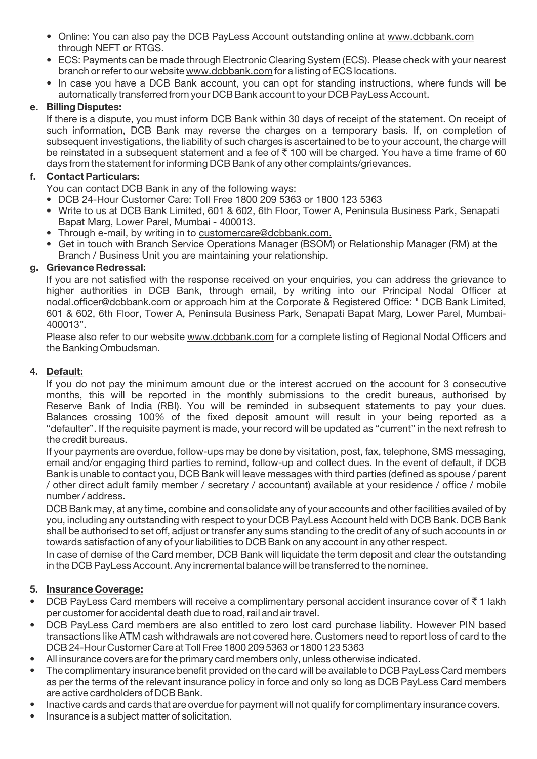- Online: You can also pay the DCB PayLess Account outstanding online at www.dcbbank.com through NEFT or RTGS.
- ECS: Payments can be made through Electronic Clearing System (ECS). Please check with your nearest branch or refer to our website www.dcbbank.com for a listing of ECS locations.
- In case you have a DCB Bank account, you can opt for standing instructions, where funds will be automatically transferred from your DCB Bank account to your DCB PayLess Account.

#### **e. Billing Disputes:**

If there is a dispute, you must inform DCB Bank within 30 days of receipt of the statement. On receipt of such information, DCB Bank may reverse the charges on a temporary basis. If, on completion of subsequent investigations, the liability of such charges is ascertained to be to your account, the charge will be reinstated in a subsequent statement and a fee of  $\bar{\tau}$  100 will be charged. You have a time frame of 60 days from the statement for informing DCB Bank of any other complaints/grievances.

#### **f. Contact Particulars:**

You can contact DCB Bank in any of the following ways:

- DCB 24-Hour Customer Care: Toll Free 1800 209 5363 or 1800 123 5363
- Write to us at DCB Bank Limited, 601 & 602, 6th Floor, Tower A, Peninsula Business Park, Senapati Bapat Marg, Lower Parel, Mumbai - 400013.
- Through e-mail, by writing in to customercare@dcbbank.com.
- Get in touch with Branch Service Operations Manager (BSOM) or Relationship Manager (RM) at the Branch / Business Unit you are maintaining your relationship.

#### **g. Grievance Redressal:**

If you are not satisfied with the response received on your enquiries, you can address the grievance to higher authorities in DCB Bank, through email, by writing into our Principal Nodal Officer at nodal.officer@dcbbank.com or approach him at the Corporate & Registered Office: " DCB Bank Limited, 601 & 602, 6th Floor, Tower A, Peninsula Business Park, Senapati Bapat Marg, Lower Parel, Mumbai-400013".

Please also refer to our website www.dcbbank.com for a complete listing of Regional Nodal Officers and the Banking Ombudsman.

#### **4. Default:**

If you do not pay the minimum amount due or the interest accrued on the account for 3 consecutive months, this will be reported in the monthly submissions to the credit bureaus, authorised by Reserve Bank of India (RBI). You will be reminded in subsequent statements to pay your dues. Balances crossing 100% of the fixed deposit amount will result in your being reported as a "defaulter". If the requisite payment is made, your record will be updated as "current" in the next refresh to the credit bureaus.

If your payments are overdue, follow-ups may be done by visitation, post, fax, telephone, SMS messaging, email and/or engaging third parties to remind, follow-up and collect dues. In the event of default, if DCB Bank is unable to contact you, DCB Bank will leave messages with third parties (defined as spouse / parent / other direct adult family member / secretary / accountant) available at your residence / office / mobile number / address.

DCB Bank may, at any time, combine and consolidate any of your accounts and other facilities availed of by you, including any outstanding with respect to your DCB PayLess Account held with DCB Bank. DCB Bank shall be authorised to set off, adjust or transfer any sums standing to the credit of any of such accounts in or towards satisfaction of any of your liabilities to DCB Bank on any account in any other respect.

In case of demise of the Card member, DCB Bank will liquidate the term deposit and clear the outstanding in the DCB PayLess Account. Any incremental balance will be transferred to the nominee.

#### **5. Insurance Coverage:**

- DCB PayLess Card members will receive a complimentary personal accident insurance cover of  $\bar{z}$  1 lakh per customer for accidental death due to road, rail and air travel.
- DCB PayLess Card members are also entitled to zero lost card purchase liability. However PIN based transactions like ATM cash withdrawals are not covered here. Customers need to report loss of card to the DCB 24-Hour Customer Care at Toll Free 1800 209 5363 or 1800 123 5363
- All insurance covers are for the primary card members only, unless otherwise indicated.
- The complimentary insurance benefit provided on the card will be available to DCB PayLess Card members as per the terms of the relevant insurance policy in force and only so long as DCB PayLess Card members are active cardholders of DCB Bank.
- Inactive cards and cards that are overdue for payment will not qualify for complimentary insurance covers.
- Insurance is a subject matter of solicitation.